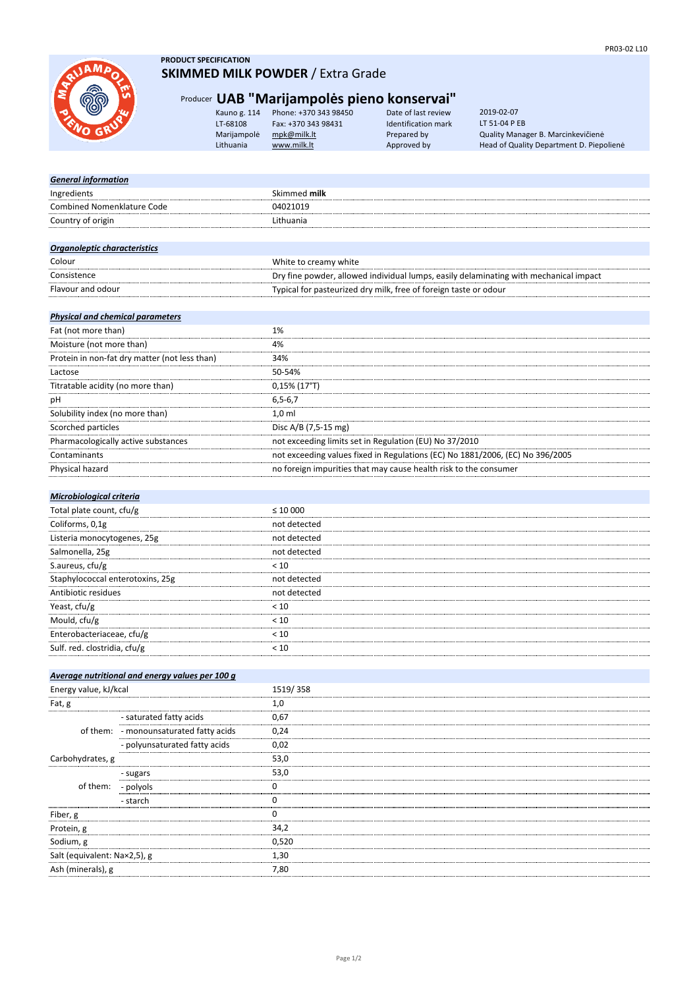

#### **PRODUCT SPECIFICATION SKIMMED MILK POWDER** / Extra Grade

## Producer **UAB "Marijampolės pieno konservai"**

| Kauno g. 114 | Phone: +370 343 98450 | Date of last review | 2019-02-07                               |
|--------------|-----------------------|---------------------|------------------------------------------|
| LT-68108     | Fax: +370 343 98431   | Identification mark | LT 51-04 P EB                            |
| Marijampolė  | mpk@milk.lt           | Prepared by         | Quality Manager B. Marcinkevičienė       |
| Lithuania    | www.milk.lt           | Approved by         | Head of Quality Department D. Piepoliene |

Date of last review LATE FAILED FAILED 1994.<br>
Prepared by

| <b>General information</b>                    |                                                                                       |
|-----------------------------------------------|---------------------------------------------------------------------------------------|
| Ingredients                                   | Skimmed milk                                                                          |
| Combined Nomenklature Code                    | 04021019                                                                              |
| Country of origin                             | Lithuania                                                                             |
|                                               |                                                                                       |
| <b>Organoleptic characteristics</b>           |                                                                                       |
| Colour                                        | White to creamy white                                                                 |
| Consistence                                   | Dry fine powder, allowed individual lumps, easily delaminating with mechanical impact |
| Flavour and odour                             | Typical for pasteurized dry milk, free of foreign taste or odour                      |
|                                               |                                                                                       |
| <b>Physical and chemical parameters</b>       |                                                                                       |
| Fat (not more than)                           | 1%                                                                                    |
| Moisture (not more than)                      | 4%                                                                                    |
| Protein in non-fat dry matter (not less than) | 34%                                                                                   |
| Lactose                                       | 50-54%                                                                                |
| Titratable acidity (no more than)             | 0,15% (17°T)                                                                          |
| рH                                            | $6, 5 - 6, 7$                                                                         |
| Solubility index (no more than)               | $1,0$ ml                                                                              |
| Scorched particles                            | Disc A/B (7,5-15 mg)                                                                  |
| Pharmacologically active substances           | not exceeding limits set in Regulation (EU) No 37/2010                                |
| Contaminants                                  | not exceeding values fixed in Regulations (EC) No 1881/2006, (EC) No 396/2005         |
| Physical hazard                               | no foreign impurities that may cause health risk to the consumer                      |
|                                               |                                                                                       |
| Microbiological criteria                      |                                                                                       |
| Total plate count, cfu/g                      | $\leq 10000$                                                                          |
| Coliforms, 0,1g                               | not detected                                                                          |
| Listeria monocytogenes, 25g                   | not detected                                                                          |
| Salmonella, 25g                               | not detected                                                                          |
| S.aureus, cfu/g                               | < 10                                                                                  |
| Staphylococcal enterotoxins, 25g              | not detected                                                                          |
| Antibiotic residues                           | not detected                                                                          |
| Yeast, cfu/g                                  | < 10                                                                                  |
| Mould, cfu/g                                  | < 10                                                                                  |
| Enterobacteriaceae, cfu/g                     | < 10                                                                                  |
| Sulf. red. clostridia, cfu/g                  | < 10                                                                                  |
|                                               |                                                                                       |

#### *Average nutritional and energy values per 100 g*

| Energy value, kJ/kcal        |                                        | 1519/358 |
|------------------------------|----------------------------------------|----------|
| Fat, g                       |                                        | 1,0      |
|                              | - saturated fatty acids                | 0,67     |
|                              | of them: - monounsaturated fatty acids | 0,24     |
|                              | <br>- polyunsaturated fatty acids      | 0,02     |
| Carbohydrates, g             |                                        | 53,0     |
| of them:                     | - sugars                               | 53,0     |
|                              | - polyols                              |          |
|                              | - starch                               |          |
| Fiber, g                     |                                        |          |
| Protein, g                   |                                        | 34.2     |
| Sodium, g                    |                                        | 0,520    |
| Salt (equivalent: Na×2,5), g |                                        | 1,30     |
| Ash (minerals), g            |                                        | 7.80     |